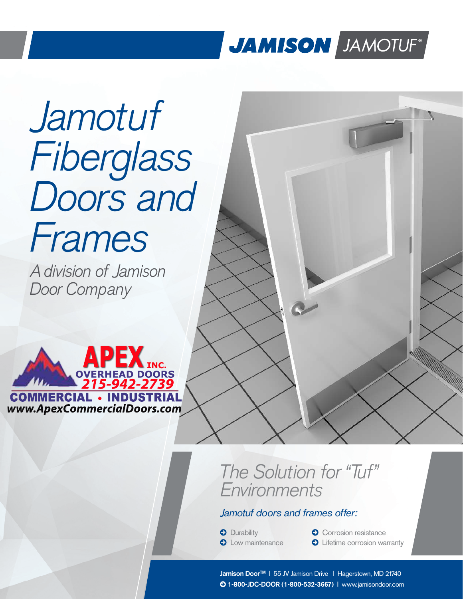## JAMISON JAMOTUF®

# Jamotuf Fiberglass Doors and Frames

A division of Jamison Door Company



### The Solution for "Tuf" Environments

#### *Jamotuf doors and frames offer:*

**O** Durability

**O** Low maintenance

**O** Corrosion resistance **O** Lifetime corrosion warranty

**Jamison DoorTM** | 55 JV Jamison Drive | Hagerstown, MD 21740 **1-800-JDC-DOOR (1-800-532-3667) |** www.jamisondoor.com